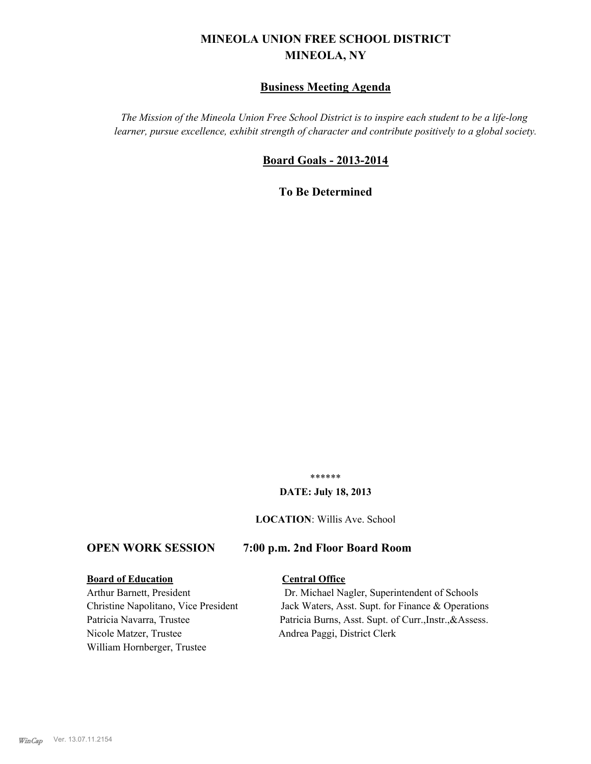# **MINEOLA UNION FREE SCHOOL DISTRICT MINEOLA, NY**

# **Business Meeting Agenda**

*The Mission of the Mineola Union Free School District is to inspire each student to be a life-long learner, pursue excellence, exhibit strength of character and contribute positively to a global society.*

# **Board Goals - 2013-2014**

**To Be Determined**

\*\*\*\*\*\*

#### **DATE: July 18, 2013**

**LOCATION**: Willis Ave. School

# **OPEN WORK SESSION 7:00 p.m. 2nd Floor Board Room**

#### **Board of Education Central Office**

Nicole Matzer, Trustee Andrea Paggi, District Clerk William Hornberger, Trustee

Arthur Barnett, President Dr. Michael Nagler, Superintendent of Schools Christine Napolitano, Vice President Jack Waters, Asst. Supt. for Finance & Operations Patricia Navarra, Trustee Patricia Burns, Asst. Supt. of Curr., Instr., & Assess.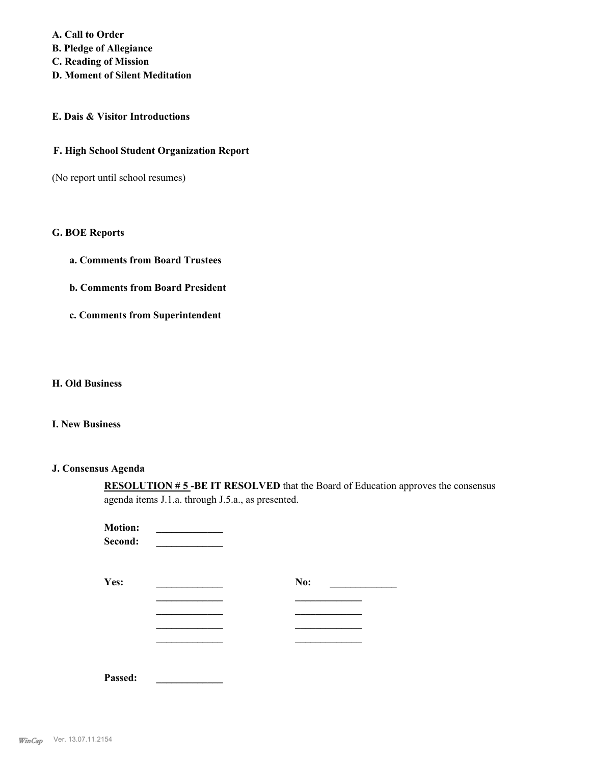**A. Call to Order B. Pledge of Allegiance C. Reading of Mission D. Moment of Silent Meditation**

## **E. Dais & Visitor Introductions**

### **F. High School Student Organization Report**

(No report until school resumes)

# **G. BOE Reports**

- **a. Comments from Board Trustees**
- **b. Comments from Board President**
- **c. Comments from Superintendent**

# **H. Old Business**

# **I. New Business**

### **J. Consensus Agenda**

**RESOLUTION # 5 -BE IT RESOLVED** that the Board of Education approves the consensus agenda items J.1.a. through J.5.a., as presented.

| <b>Motion:</b><br>Second: |     |
|---------------------------|-----|
| Yes:                      | No: |
|                           |     |
|                           |     |
|                           |     |
| Passed:                   |     |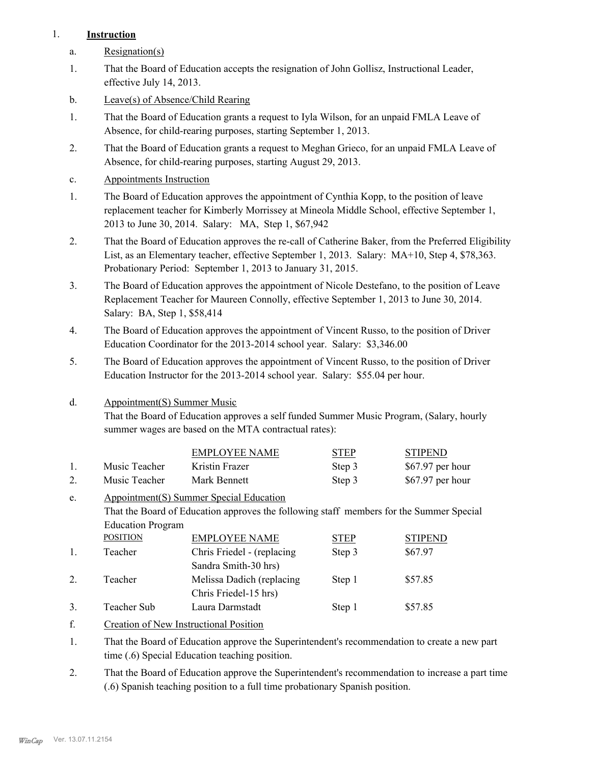# 1. **Instruction**

- a. Resignation(s)
- That the Board of Education accepts the resignation of John Gollisz, Instructional Leader, effective July 14, 2013. 1.
- b. Leave(s) of Absence/Child Rearing
- That the Board of Education grants a request to Iyla Wilson, for an unpaid FMLA Leave of Absence, for child-rearing purposes, starting September 1, 2013. 1.
- That the Board of Education grants a request to Meghan Grieco, for an unpaid FMLA Leave of Absence, for child-rearing purposes, starting August 29, 2013. 2.
- c. Appointments Instruction
- The Board of Education approves the appointment of Cynthia Kopp, to the position of leave replacement teacher for Kimberly Morrissey at Mineola Middle School, effective September 1, 2013 to June 30, 2014. Salary: MA, Step 1, \$67,942 1.
- That the Board of Education approves the re-call of Catherine Baker, from the Preferred Eligibility List, as an Elementary teacher, effective September 1, 2013. Salary: MA+10, Step 4, \$78,363. Probationary Period: September 1, 2013 to January 31, 2015. 2.
- The Board of Education approves the appointment of Nicole Destefano, to the position of Leave Replacement Teacher for Maureen Connolly, effective September 1, 2013 to June 30, 2014. Salary: BA, Step 1, \$58,414 3.
- The Board of Education approves the appointment of Vincent Russo, to the position of Driver Education Coordinator for the 2013-2014 school year. Salary: \$3,346.00 4.
- The Board of Education approves the appointment of Vincent Russo, to the position of Driver Education Instructor for the 2013-2014 school year. Salary: \$55.04 per hour. 5.
- Appointment(S) Summer Music d.

That the Board of Education approves a self funded Summer Music Program, (Salary, hourly summer wages are based on the MTA contractual rates):

|               | EMPLOYEE NAME  | <b>STEP</b> | <b>STIPEND</b>    |
|---------------|----------------|-------------|-------------------|
| Music Teacher | Kristin Frazer | Step 3      | $$67.97$ per hour |
| Music Teacher | Mark Bennett   | Step 3      | $$67.97$ per hour |

Appointment(S) Summer Special Education That the Board of Education approves the following staff members for the Summer Special Education Program e. POSITION EMPLOYEE NAME STEP STIPEND

| $\mathbf{1}$ . | Teacher        | Chris Friedel - (replacing | Step 3 | \$67.97 |
|----------------|----------------|----------------------------|--------|---------|
|                |                | Sandra Smith-30 hrs)       |        |         |
|                | <b>Teacher</b> | Melissa Dadich (replacing) | Step 1 | \$57.85 |
|                |                | Chris Friedel-15 hrs)      |        |         |
|                | Teacher Sub    | Laura Darmstadt            | Step 1 | \$57.85 |

- f. Creation of New Instructional Position
- That the Board of Education approve the Superintendent's recommendation to create a new part time (.6) Special Education teaching position. 1.
- That the Board of Education approve the Superintendent's recommendation to increase a part time (.6) Spanish teaching position to a full time probationary Spanish position. 2.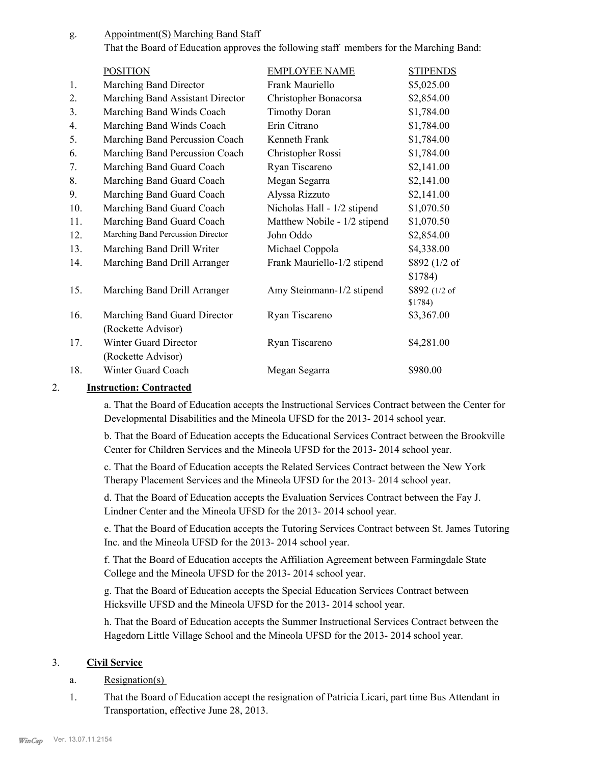Appointment(S) Marching Band Staff g.

That the Board of Education approves the following staff members for the Marching Band:

|     | <b>POSITION</b>                   | <b>EMPLOYEE NAME</b>         | <b>STIPENDS</b>          |
|-----|-----------------------------------|------------------------------|--------------------------|
| 1.  | Marching Band Director            | Frank Mauriello              | \$5,025.00               |
| 2.  | Marching Band Assistant Director  | Christopher Bonacorsa        | \$2,854.00               |
| 3.  | Marching Band Winds Coach         | <b>Timothy Doran</b>         | \$1,784.00               |
| 4.  | Marching Band Winds Coach         | Erin Citrano                 | \$1,784.00               |
| 5.  | Marching Band Percussion Coach    | Kenneth Frank                | \$1,784.00               |
| 6.  | Marching Band Percussion Coach    | Christopher Rossi            | \$1,784.00               |
| 7.  | Marching Band Guard Coach         | Ryan Tiscareno               | \$2,141.00               |
| 8.  | Marching Band Guard Coach         | Megan Segarra                | \$2,141.00               |
| 9.  | Marching Band Guard Coach         | Alyssa Rizzuto               | \$2,141.00               |
| 10. | Marching Band Guard Coach         | Nicholas Hall - 1/2 stipend  | \$1,070.50               |
| 11. | Marching Band Guard Coach         | Matthew Nobile - 1/2 stipend | \$1,070.50               |
| 12. | Marching Band Percussion Director | John Oddo                    | \$2,854.00               |
| 13. | Marching Band Drill Writer        | Michael Coppola              | \$4,338.00               |
| 14. | Marching Band Drill Arranger      | Frank Mauriello-1/2 stipend  | \$892 (1/2 of            |
|     |                                   |                              | \$1784)                  |
| 15. | Marching Band Drill Arranger      | Amy Steinmann-1/2 stipend    | \$892 (1/2 of<br>\$1784) |
| 16. | Marching Band Guard Director      | Ryan Tiscareno               | \$3,367.00               |
|     | (Rockette Advisor)                |                              |                          |
| 17. | Winter Guard Director             | Ryan Tiscareno               | \$4,281.00               |
|     | (Rockette Advisor)                |                              |                          |
| 18. | Winter Guard Coach                | Megan Segarra                | \$980.00                 |

# 2. **Instruction: Contracted**

a. That the Board of Education accepts the Instructional Services Contract between the Center for Developmental Disabilities and the Mineola UFSD for the 2013- 2014 school year.

b. That the Board of Education accepts the Educational Services Contract between the Brookville Center for Children Services and the Mineola UFSD for the 2013- 2014 school year.

c. That the Board of Education accepts the Related Services Contract between the New York Therapy Placement Services and the Mineola UFSD for the 2013- 2014 school year.

d. That the Board of Education accepts the Evaluation Services Contract between the Fay J. Lindner Center and the Mineola UFSD for the 2013- 2014 school year.

e. That the Board of Education accepts the Tutoring Services Contract between St. James Tutoring Inc. and the Mineola UFSD for the 2013- 2014 school year.

f. That the Board of Education accepts the Affiliation Agreement between Farmingdale State College and the Mineola UFSD for the 2013- 2014 school year.

g. That the Board of Education accepts the Special Education Services Contract between Hicksville UFSD and the Mineola UFSD for the 2013- 2014 school year.

h. That the Board of Education accepts the Summer Instructional Services Contract between the Hagedorn Little Village School and the Mineola UFSD for the 2013- 2014 school year.

# 3. **Civil Service**

- a. Resignation(s)
- That the Board of Education accept the resignation of Patricia Licari, part time Bus Attendant in Transportation, effective June 28, 2013. 1.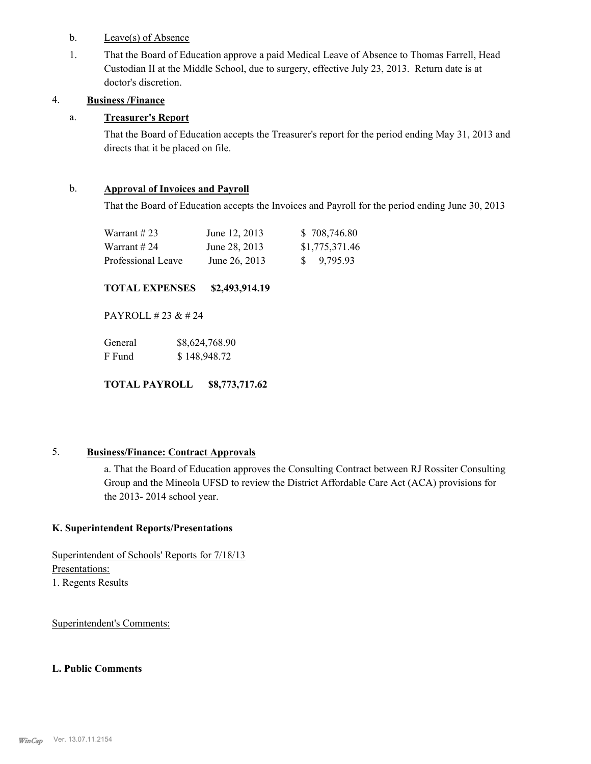- b. Leave(s) of Absence
- That the Board of Education approve a paid Medical Leave of Absence to Thomas Farrell, Head Custodian II at the Middle School, due to surgery, effective July 23, 2013. Return date is at doctor's discretion. 1.

# 4. **Business /Finance**

# a. **Treasurer's Report**

That the Board of Education accepts the Treasurer's report for the period ending May 31, 2013 and directs that it be placed on file.

## b. **Approval of Invoices and Payroll**

That the Board of Education accepts the Invoices and Payroll for the period ending June 30, 2013

| Warrant #23        | June 12, 2013 | \$708,746.80           |
|--------------------|---------------|------------------------|
| Warrant # 24       | June 28, 2013 | \$1,775,371.46         |
| Professional Leave | June 26, 2013 | $\frac{1}{2}$ 9,795.93 |

# **TOTAL EXPENSES \$2,493,914.19**

PAYROLL # 23 & # 24

| General | \$8,624,768.90 |
|---------|----------------|
| F Fund  | \$148,948.72   |

**TOTAL PAYROLL \$8,773,717.62**

# 5. **Business/Finance: Contract Approvals**

a. That the Board of Education approves the Consulting Contract between RJ Rossiter Consulting Group and the Mineola UFSD to review the District Affordable Care Act (ACA) provisions for the 2013- 2014 school year.

# **K. Superintendent Reports/Presentations**

Superintendent of Schools' Reports for 7/18/13 Presentations: 1. Regents Results

Superintendent's Comments:

# **L. Public Comments**